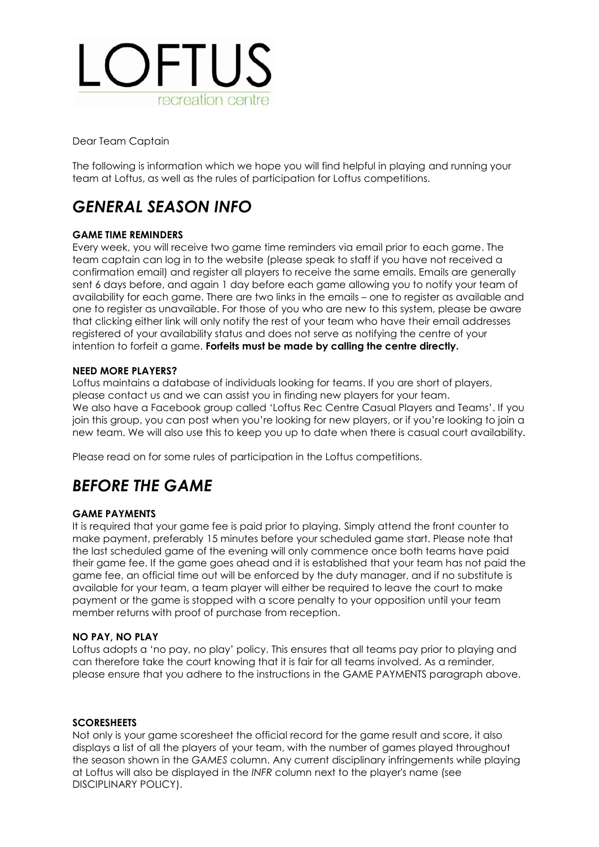

Dear Team Captain

The following is information which we hope you will find helpful in playing and running your team at Loftus, as well as the rules of participation for Loftus competitions.

# *GENERAL SEASON INFO*

#### **GAME TIME REMINDERS**

Every week, you will receive two game time reminders via email prior to each game. The team captain can log in to the website (please speak to staff if you have not received a confirmation email) and register all players to receive the same emails. Emails are generally sent 6 days before, and again 1 day before each game allowing you to notify your team of availability for each game. There are two links in the emails – one to register as available and one to register as unavailable. For those of you who are new to this system, please be aware that clicking either link will only notify the rest of your team who have their email addresses registered of your availability status and does not serve as notifying the centre of your intention to forfeit a game. **Forfeits must be made by calling the centre directly.**

#### **NEED MORE PLAYERS?**

Loftus maintains a database of individuals looking for teams. If you are short of players, please contact us and we can assist you in finding new players for your team. We also have a Facebook group called 'Loftus Rec Centre Casual Players and Teams'. If you join this group, you can post when you're looking for new players, or if you're looking to join a new team. We will also use this to keep you up to date when there is casual court availability.

Please read on for some rules of participation in the Loftus competitions.

# *BEFORE THE GAME*

#### **GAME PAYMENTS**

It is required that your game fee is paid prior to playing. Simply attend the front counter to make payment, preferably 15 minutes before your scheduled game start. Please note that the last scheduled game of the evening will only commence once both teams have paid their game fee. If the game goes ahead and it is established that your team has not paid the game fee, an official time out will be enforced by the duty manager, and if no substitute is available for your team, a team player will either be required to leave the court to make payment or the game is stopped with a score penalty to your opposition until your team member returns with proof of purchase from reception.

#### **NO PAY, NO PLAY**

Loftus adopts a 'no pay, no play' policy. This ensures that all teams pay prior to playing and can therefore take the court knowing that it is fair for all teams involved. As a reminder, please ensure that you adhere to the instructions in the GAME PAYMENTS paragraph above.

#### **SCORESHEETS**

Not only is your game scoresheet the official record for the game result and score, it also displays a list of all the players of your team, with the number of games played throughout the season shown in the *GAMES* column. Any current disciplinary infringements while playing at Loftus will also be displayed in the *INFR* column next to the player's name (see DISCIPLINARY POLICY).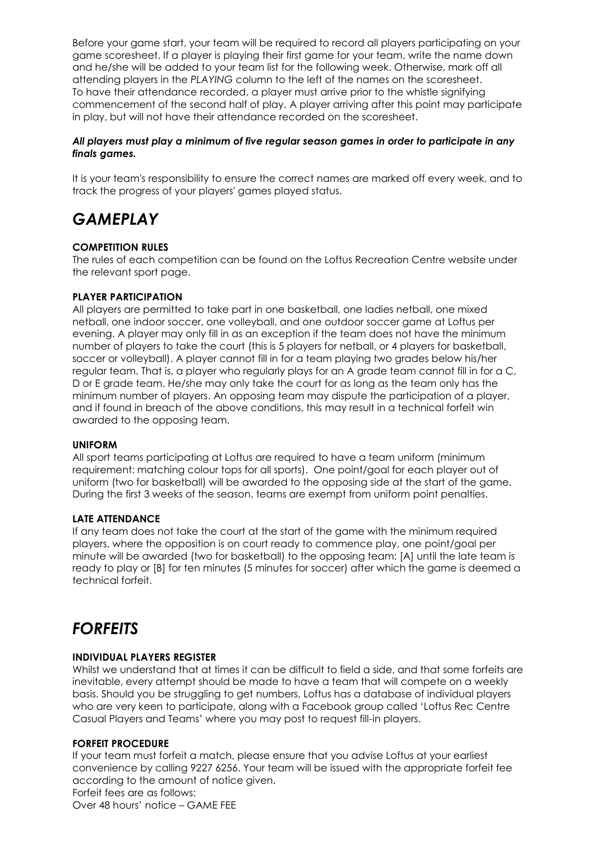Before your game start, your team will be required to record all players participating on your game scoresheet. If a player is playing their first game for your team, write the name down and he/she will be added to your team list for the following week. Otherwise, mark off all attending players in the *PLAYING* column to the left of the names on the scoresheet. To have their attendance recorded, a player must arrive prior to the whistle signifying commencement of the second half of play. A player arriving after this point may participate in play, but will not have their attendance recorded on the scoresheet.

#### *All players must play a minimum of five regular season games in order to participate in any finals games.*

It is your team's responsibility to ensure the correct names are marked off every week, and to track the progress of your players' games played status.

# *GAMEPLAY*

### **COMPETITION RULES**

The rules of each competition can be found on the Loftus Recreation Centre website under the relevant sport page.

#### **PLAYER PARTICIPATION**

All players are permitted to take part in one basketball, one ladies netball, one mixed netball, one indoor soccer, one volleyball, and one outdoor soccer game at Loftus per evening. A player may only fill in as an exception if the team does not have the minimum number of players to take the court (this is 5 players for netball, or 4 players for basketball, soccer or volleyball). A player cannot fill in for a team playing two grades below his/her regular team. That is, a player who regularly plays for an A grade team cannot fill in for a C, D or E grade team. He/she may only take the court for as long as the team only has the minimum number of players. An opposing team may dispute the participation of a player, and if found in breach of the above conditions, this may result in a technical forfeit win awarded to the opposing team.

#### **UNIFORM**

All sport teams participating at Loftus are required to have a team uniform (minimum requirement: matching colour tops for all sports). One point/goal for each player out of uniform (two for basketball) will be awarded to the opposing side at the start of the game. During the first 3 weeks of the season, teams are exempt from uniform point penalties.

#### **LATE ATTENDANCE**

If any team does not take the court at the start of the game with the minimum required players, where the opposition is on court ready to commence play, one point/goal per minute will be awarded (two for basketball) to the opposing team: [A] until the late team is ready to play or [B] for ten minutes (5 minutes for soccer) after which the game is deemed a technical forfeit.

## *FORFEITS*

#### **INDIVIDUAL PLAYERS REGISTER**

Whilst we understand that at times it can be difficult to field a side, and that some forfeits are inevitable, every attempt should be made to have a team that will compete on a weekly basis. Should you be struggling to get numbers, Loftus has a database of individual players who are very keen to participate, along with a Facebook group called 'Loftus Rec Centre Casual Players and Teams' where you may post to request fill-in players.

### **FORFEIT PROCEDURE**

If your team must forfeit a match, please ensure that you advise Loftus at your earliest convenience by calling 9227 6256. Your team will be issued with the appropriate forfeit fee according to the amount of notice given. Forfeit fees are as follows: Over 48 hours' notice – GAME FEE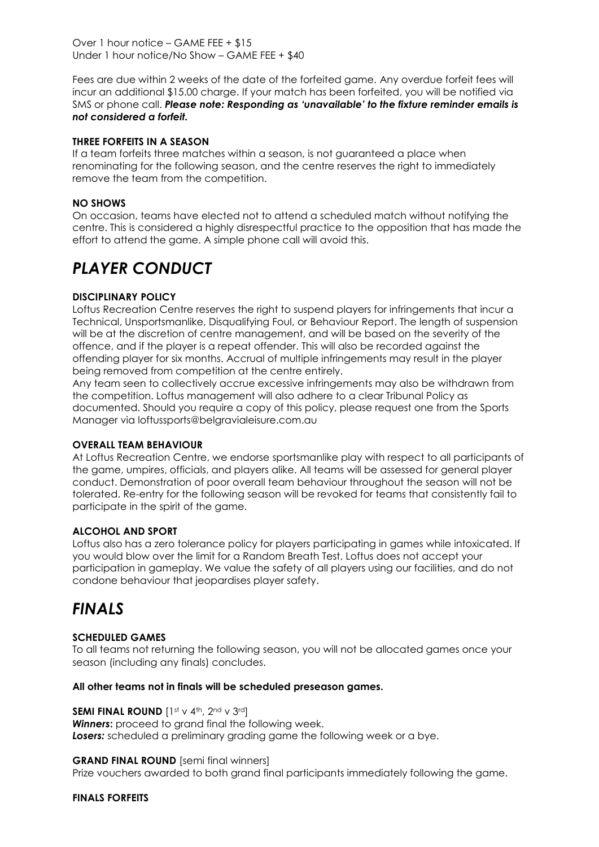Over 1 hour notice – GAME FEE + \$15 Under 1 hour notice/No Show – GAME FEE + \$40

Fees are due within 2 weeks of the date of the forfeited game. Any overdue forfeit fees will incur an additional \$15.00 charge. If your match has been forfeited, you will be notified via SMS or phone call. *Please note: Responding as 'unavailable' to the fixture reminder emails is not considered a forfeit.*

#### **THREE FORFEITS IN A SEASON**

If a team forfeits three matches within a season, is not guaranteed a place when renominating for the following season, and the centre reserves the right to immediately remove the team from the competition.

#### **NO SHOWS**

On occasion, teams have elected not to attend a scheduled match without notifying the centre. This is considered a highly disrespectful practice to the opposition that has made the effort to attend the game. A simple phone call will avoid this.

# *PLAYER CONDUCT*

### **DISCIPLINARY POLICY**

Loftus Recreation Centre reserves the right to suspend players for infringements that incur a Technical, Unsportsmanlike, Disqualifying Foul, or Behaviour Report. The length of suspension will be at the discretion of centre management, and will be based on the severity of the offence, and if the player is a repeat offender. This will also be recorded against the offending player for six months. Accrual of multiple infringements may result in the player being removed from competition at the centre entirely.

Any team seen to collectively accrue excessive infringements may also be withdrawn from the competition. Loftus management will also adhere to a clear Tribunal Policy as documented. Should you require a copy of this policy, please request one from the Sports Manager via loftussports@belgravialeisure.com.au

#### **OVERALL TEAM BEHAVIOUR**

At Loftus Recreation Centre, we endorse sportsmanlike play with respect to all participants of the game, umpires, officials, and players alike. All teams will be assessed for general player conduct. Demonstration of poor overall team behaviour throughout the season will not be tolerated. Re-entry for the following season will be revoked for teams that consistently fail to participate in the spirit of the game.

### **ALCOHOL AND SPORT**

Loftus also has a zero tolerance policy for players participating in games while intoxicated. If you would blow over the limit for a Random Breath Test, Loftus does not accept your participation in gameplay. We value the safety of all players using our facilities, and do not condone behaviour that jeopardises player safety.

## *FINALS*

### **SCHEDULED GAMES**

To all teams not returning the following season, you will not be allocated games once your season (including any finals) concludes.

#### **All other teams not in finals will be scheduled preseason games.**

#### **SEMI FINAL ROUND** [1st v 4th, 2nd v 3rd]

*Winners:* proceed to grand final the following week. **Losers:** scheduled a preliminary grading game the following week or a bye.

## **GRAND FINAL ROUND** [semi final winners]

Prize vouchers awarded to both grand final participants immediately following the game.

#### **FINALS FORFEITS**